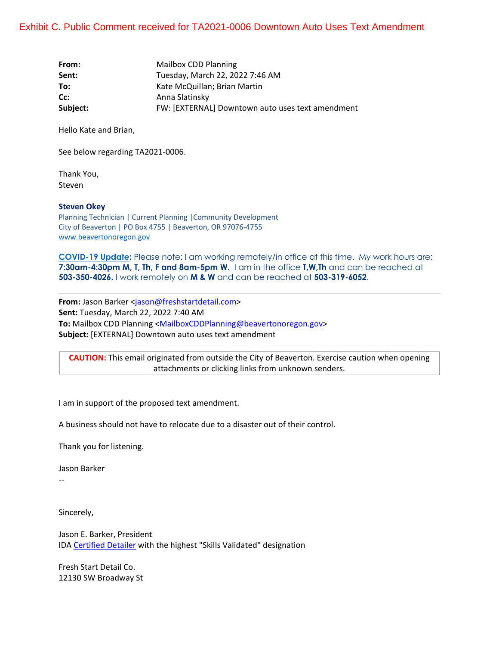| From:    | Mailbox CDD Planning                             |
|----------|--------------------------------------------------|
| Sent:    | Tuesday, March 22, 2022 7:46 AM                  |
| To:      | Kate McQuillan; Brian Martin                     |
| Cc:      | Anna Slatinsky                                   |
| Subject: | FW: [EXTERNAL] Downtown auto uses text amendment |

Hello Kate and Brian,

See below regarding TA2021-0006.

Thank You, Steven

## **Steven Okey**

Planning Technician | Current Planning |Community Development City of Beaverton | PO Box 4755 | Beaverton, OR 97076-4755 www.beavertonoregon.gov

**[COVID-19 Upda](http://intraweb/news/Pages/default.aspx)te:** Please note: I am working remotely/in office at this time. My work hours are: **7:30am-4:30pm M, T, Th, F and 8am-5pm W.** I am in the office **T,W,Th** and can be reached at **503-350-4026.** I work remotely on **M & W** and can be reached at **503-319-6052**.

From: Jason Barker <jason@freshstartdetail.com> **Sent:** Tuesday, March 22, 2022 7:40 AM **To:** Mailbox CDD Planning <MailboxCDDPlanning@beavertonoregon.gov> **Subject:** [EXTERNAL] Downtown auto uses text amendment

**CAUTION:** This email originated from outside the City of Beaverton. Exercise caution when opening attachments or clicking links from unknown senders.

I am in support of the proposed text amendment.

A business should not have to relocate due to a disaster out of their control.

Thank you for listening.

Jason Barker

--

Sincerely,

Jason E. Barker, President IDA [Certified Detaile](https://urldefense.com/v3/__https:/the-ida.com/page/About_Us__;!!MSPUwJmwYBEz8l4_sQ!-5Lt6ZOWE85XFIgWTP9Ge71Nz4pB2TlfC-sYLkE5V4hEVQIGVrBBRjR2Y0PhtpAn7TUOVHHxjsTYlvmUE5o$)r with the highest "Skills Validated" designation

Fresh Start Detail Co. 12130 SW Broadway St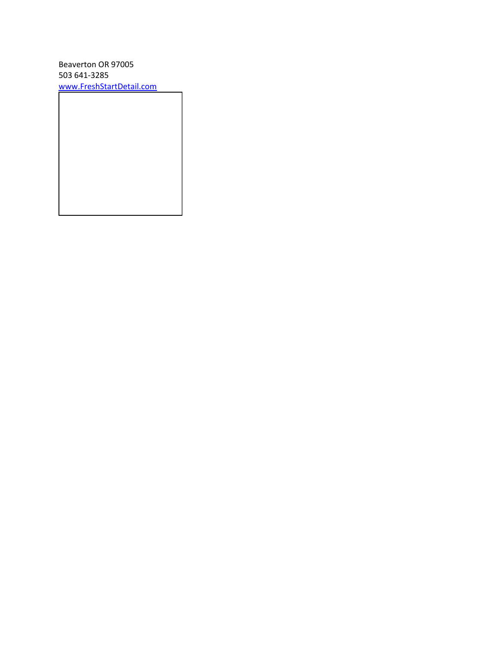Beaverton OR 97005 503 641-3285 www.FreshStartDetail.com